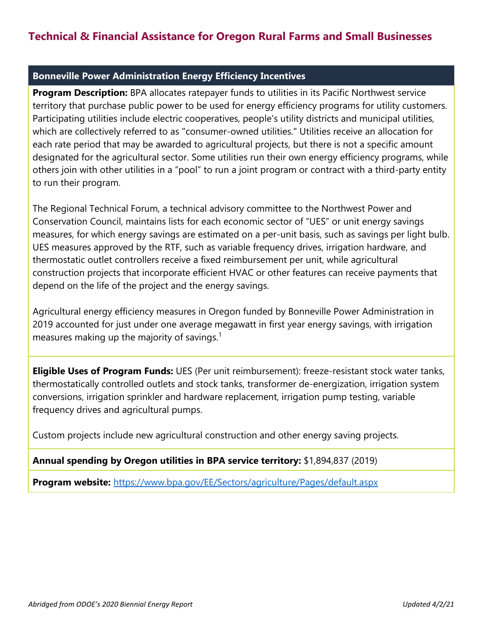# **Technical & Financial Assistance for Oregon Rural Farms and Small Businesses**

### **Bonneville Power Administration Energy Efficiency Incentives**

**Program Description:** BPA allocates ratepayer funds to utilities in its Pacific Northwest service territory that purchase public power to be used for energy efficiency programs for utility customers. Participating utilities include electric cooperatives, people's utility districts and municipal utilities, which are collectively referred to as "consumer-owned utilities." Utilities receive an allocation for each rate period that may be awarded to agricultural projects, but there is not a specific amount designated for the agricultural sector. Some utilities run their own energy efficiency programs, while others join with other utilities in a "pool" to run a joint program or contract with a third-party entity to run their program.

The Regional Technical Forum, a technical advisory committee to the Northwest Power and Conservation Council, maintains lists for each economic sector of "UES" or unit energy savings measures, for which energy savings are estimated on a per-unit basis, such as savings per light bulb. UES measures approved by the RTF, such as variable frequency drives, irrigation hardware, and thermostatic outlet controllers receive a fixed reimbursement per unit, while agricultural construction projects that incorporate efficient HVAC or other features can receive payments that depend on the life of the project and the energy savings.

Agricultural energy efficiency measures in Oregon funded by Bonneville Power Administration in 2019 accounted for just under one average megawatt in first year energy savings, with irrigation measures making up the majority of savings. $1$ 

**Eligible Uses of Program Funds:** UES (Per unit reimbursement): freeze-resistant stock water tanks, thermostatically controlled outlets and stock tanks, transformer de-energization, irrigation system conversions, irrigation sprinkler and hardware replacement, irrigation pump testing, variable frequency drives and agricultural pumps.

Custom projects include new agricultural construction and other energy saving projects.

#### **Annual spending by Oregon utilities in BPA service territory:** \$1,894,837 (2019)

**Program website:** <https://www.bpa.gov/EE/Sectors/agriculture/Pages/default.aspx>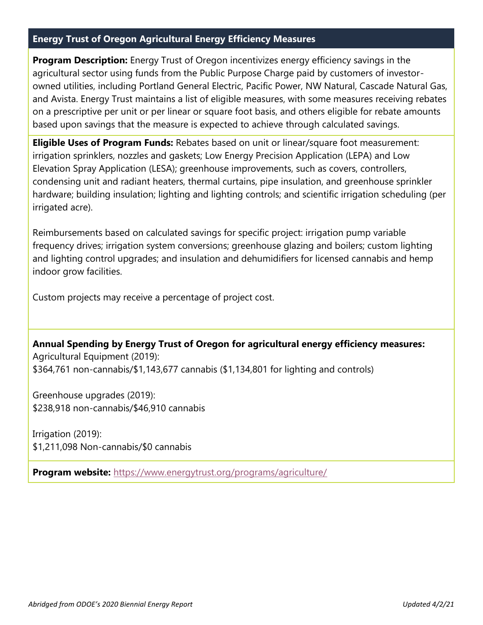## **Energy Trust of Oregon Agricultural Energy Efficiency Measures**

**Program Description:** Energy Trust of Oregon incentivizes energy efficiency savings in the agricultural sector using funds from the Public Purpose Charge paid by customers of investorowned utilities, including Portland General Electric, Pacific Power, NW Natural, Cascade Natural Gas, and Avista. Energy Trust maintains a list of eligible measures, with some measures receiving rebates on a prescriptive per unit or per linear or square foot basis, and others eligible for rebate amounts based upon savings that the measure is expected to achieve through calculated savings.

**Eligible Uses of Program Funds:** Rebates based on unit or linear/square foot measurement: irrigation sprinklers, nozzles and gaskets; Low Energy Precision Application (LEPA) and Low Elevation Spray Application (LESA); greenhouse improvements, such as covers, controllers, condensing unit and radiant heaters, thermal curtains, pipe insulation, and greenhouse sprinkler hardware; building insulation; lighting and lighting controls; and scientific irrigation scheduling (per irrigated acre).

Reimbursements based on calculated savings for specific project: irrigation pump variable frequency drives; irrigation system conversions; greenhouse glazing and boilers; custom lighting and lighting control upgrades; and insulation and dehumidifiers for licensed cannabis and hemp indoor grow facilities.

Custom projects may receive a percentage of project cost.

**Annual Spending by Energy Trust of Oregon for agricultural energy efficiency measures:** Agricultural Equipment (2019): \$364,761 non-cannabis/\$1,143,677 cannabis (\$1,134,801 for lighting and controls)

Greenhouse upgrades (2019): \$238,918 non-cannabis/\$46,910 cannabis

Irrigation (2019): \$1,211,098 Non-cannabis/\$0 cannabis

**Program website:** <https://www.energytrust.org/programs/agriculture/>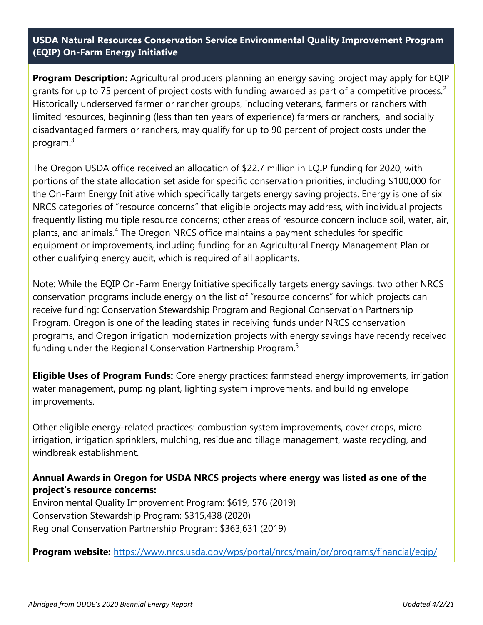**USDA Natural Resources Conservation Service Environmental Quality Improvement Program (EQIP) On-Farm Energy Initiative**

**Program Description:** Agricultural producers planning an energy saving project may apply for EQIP grants for up to 75 percent of project costs with funding awarded as part of a competitive process.<sup>2</sup> Historically underserved farmer or rancher groups, including veterans, farmers or ranchers with limited resources, beginning (less than ten years of experience) farmers or ranchers, and socially disadvantaged farmers or ranchers, may qualify for up to 90 percent of project costs under the program.<sup>3</sup>

The Oregon USDA office received an allocation of \$22.7 million in EQIP funding for 2020, with portions of the state allocation set aside for specific conservation priorities, including \$100,000 for the On-Farm Energy Initiative which specifically targets energy saving projects. Energy is one of six NRCS categories of "resource concerns" that eligible projects may address, with individual projects frequently listing multiple resource concerns; other areas of resource concern include soil, water, air, plants, and animals. <sup>4</sup> The Oregon NRCS office maintains a payment schedules for specific equipment or improvements, including funding for an Agricultural Energy Management Plan or other qualifying energy audit, which is required of all applicants.

Note: While the EQIP On-Farm Energy Initiative specifically targets energy savings, two other NRCS conservation programs include energy on the list of "resource concerns" for which projects can receive funding: Conservation Stewardship Program and Regional Conservation Partnership Program. Oregon is one of the leading states in receiving funds under NRCS conservation programs, and Oregon irrigation modernization projects with energy savings have recently received funding under the Regional Conservation Partnership Program.<sup>5</sup>

**Eligible Uses of Program Funds:** Core energy practices: farmstead energy improvements, irrigation water management, pumping plant, lighting system improvements, and building envelope improvements.

Other eligible energy-related practices: combustion system improvements, cover crops, micro irrigation, irrigation sprinklers, mulching, residue and tillage management, waste recycling, and windbreak establishment.

**Annual Awards in Oregon for USDA NRCS projects where energy was listed as one of the project's resource concerns:**

Environmental Quality Improvement Program: \$619, 576 (2019) Conservation Stewardship Program: \$315,438 (2020) Regional Conservation Partnership Program: \$363,631 (2019)

**Program website:** <https://www.nrcs.usda.gov/wps/portal/nrcs/main/or/programs/financial/eqip/>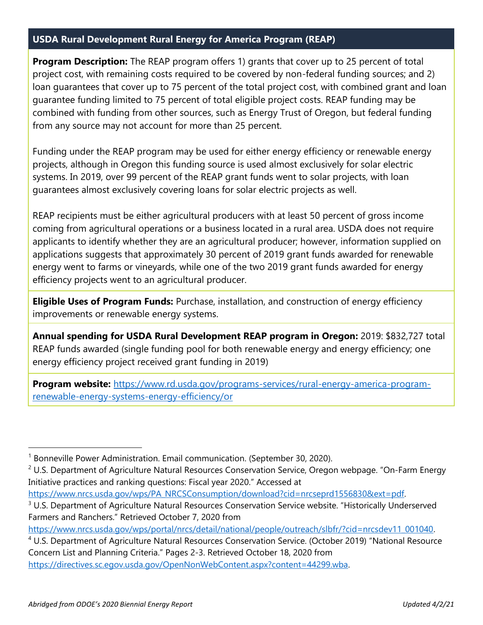## **USDA Rural Development Rural Energy for America Program (REAP)**

**Program Description:** The REAP program offers 1) grants that cover up to 25 percent of total project cost, with remaining costs required to be covered by non-federal funding sources; and 2) loan guarantees that cover up to 75 percent of the total project cost, with combined grant and loan guarantee funding limited to 75 percent of total eligible project costs. REAP funding may be combined with funding from other sources, such as Energy Trust of Oregon, but federal funding from any source may not account for more than 25 percent.

Funding under the REAP program may be used for either energy efficiency or renewable energy projects, although in Oregon this funding source is used almost exclusively for solar electric systems. In 2019, over 99 percent of the REAP grant funds went to solar projects, with loan guarantees almost exclusively covering loans for solar electric projects as well.

REAP recipients must be either agricultural producers with at least 50 percent of gross income coming from agricultural operations or a business located in a rural area. USDA does not require applicants to identify whether they are an agricultural producer; however, information supplied on applications suggests that approximately 30 percent of 2019 grant funds awarded for renewable energy went to farms or vineyards, while one of the two 2019 grant funds awarded for energy efficiency projects went to an agricultural producer.

**Eligible Uses of Program Funds:** Purchase, installation, and construction of energy efficiency improvements or renewable energy systems.

**Annual spending for USDA Rural Development REAP program in Oregon:** 2019: \$832,727 total REAP funds awarded (single funding pool for both renewable energy and energy efficiency; one energy efficiency project received grant funding in 2019)

**Program website:** [https://www.rd.usda.gov/programs-services/rural-energy-america-program](https://www.rd.usda.gov/programs-services/rural-energy-america-program-renewable-energy-systems-energy-efficiency/or)[renewable-energy-systems-energy-efficiency/or](https://www.rd.usda.gov/programs-services/rural-energy-america-program-renewable-energy-systems-energy-efficiency/or)

<sup>&</sup>lt;sup>1</sup> Bonneville Power Administration. Email communication. (September 30, 2020).

 $2$  U.S. Department of Agriculture Natural Resources Conservation Service, Oregon webpage. "On-Farm Energy Initiative practices and ranking questions: Fiscal year 2020." Accessed at

[https://www.nrcs.usda.gov/wps/PA\\_NRCSConsumption/download?cid=nrcseprd1556830&ext=pdf.](https://www.nrcs.usda.gov/wps/PA_NRCSConsumption/download?cid=nrcseprd1556830&ext=pdf)

<sup>&</sup>lt;sup>3</sup> U.S. Department of Agriculture Natural Resources Conservation Service website. "Historically Underserved Farmers and Ranchers." Retrieved October 7, 2020 from

[https://www.nrcs.usda.gov/wps/portal/nrcs/detail/national/people/outreach/slbfr/?cid=nrcsdev11\\_001040.](https://www.nrcs.usda.gov/wps/portal/nrcs/detail/national/people/outreach/slbfr/?cid=nrcsdev11_001040)

<sup>4</sup> U.S. Department of Agriculture Natural Resources Conservation Service. (October 2019) "National Resource Concern List and Planning Criteria." Pages 2-3. Retrieved October 18, 2020 from [https://directives.sc.egov.usda.gov/OpenNonWebContent.aspx?content=44299.wba.](https://directives.sc.egov.usda.gov/OpenNonWebContent.aspx?content=44299.wba)